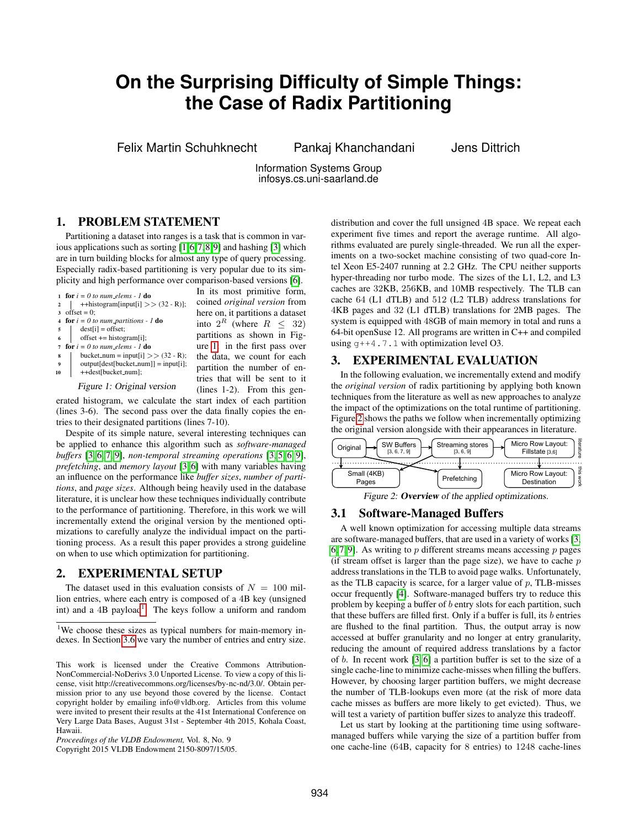# **On the Surprising Difficulty of Simple Things: the Case of Radix Partitioning**

Felix Martin Schuhknecht Pankaj Khanchandani Jens Dittrich

Information Systems Group infosys.cs.uni-saarland.de

#### 1. PROBLEM STATEMENT

Partitioning a dataset into ranges is a task that is common in various applications such as sorting [\[1,](#page-3-0)[6,](#page-3-1)[7,](#page-3-2)[8,](#page-3-3)[9\]](#page-3-4) and hashing [\[3\]](#page-3-5) which are in turn building blocks for almost any type of query processing. Especially radix-based partitioning is very popular due to its simplicity and high performance over comparison-based versions [\[6\]](#page-3-1).

<span id="page-0-0"></span>

|             |                                                                  | In its most primitive form,         |
|-------------|------------------------------------------------------------------|-------------------------------------|
|             | 1 for $i = 0$ to num_elems - 1 do                                |                                     |
|             | ++histogram[input[i] >> $(32 - R)$ ];                            | coined <i>original</i> version from |
|             | 3 offset = $0$ :                                                 | here on, it partitions a dataset    |
|             | 4 for $i = 0$ to num-partitions - 1 do                           | into $2^R$ (where $R \leq 32$ )     |
|             | $dest[i] = offset;$<br>$5 \mid$                                  |                                     |
|             | offset += histogram[i];                                          | partitions as shown in Fig-         |
|             | 7 for $i = 0$ to num_elems - 1 do                                | ure 1: in the first pass over       |
| 8           | bucket_num = input[i] >> $(32 - R)$ ;                            | the data, we count for each         |
| $\mathbf Q$ | $output[dest[backet_number]] = input[i];$                        |                                     |
| 10          | ++dest[bucket_num];                                              | partition the number of en-         |
|             |                                                                  | tries that will be sent to it       |
|             | Figure 1: Original version                                       | $(lines 1-2)$ . From this gen-      |
|             | erated histogram, we calculate the start index of each partition |                                     |

f each partition (lines 3-6). The second pass over the data finally copies the entries to their designated partitions (lines 7-10).

Despite of its simple nature, several interesting techniques can be applied to enhance this algorithm such as *software-managed buffers* [\[3,](#page-3-5) [6,](#page-3-1) [7,](#page-3-2) [9\]](#page-3-4), *non-temporal streaming operations* [\[3,](#page-3-5) [5,](#page-3-6) [6,](#page-3-1) [9\]](#page-3-4), *prefetching*, and *memory layout* [\[3,](#page-3-5) [6\]](#page-3-1) with many variables having an influence on the performance like *buffer sizes*, *number of partitions*, and *page sizes*. Although being heavily used in the database literature, it is unclear how these techniques individually contribute to the performance of partitioning. Therefore, in this work we will incrementally extend the original version by the mentioned optimizations to carefully analyze the individual impact on the partitioning process. As a result this paper provides a strong guideline on when to use which optimization for partitioning.

#### 2. EXPERIMENTAL SETUP

The dataset used in this evaluation consists of  $N = 100$  million entries, where each entry is composed of a 4B key (unsigned int) and a  $4B$  payload<sup>[1](#page-0-1)</sup>. The keys follow a uniform and random

Copyright 2015 VLDB Endowment 2150-8097/15/05.

distribution and cover the full unsigned 4B space. We repeat each experiment five times and report the average runtime. All algorithms evaluated are purely single-threaded. We run all the experiments on a two-socket machine consisting of two quad-core Intel Xeon E5-2407 running at 2.2 GHz. The CPU neither supports hyper-threading nor turbo mode. The sizes of the L1, L2, and L3 caches are 32KB, 256KB, and 10MB respectively. The TLB can cache 64 (L1 dTLB) and 512 (L2 TLB) address translations for 4KB pages and 32 (L1 dTLB) translations for 2MB pages. The system is equipped with 48GB of main memory in total and runs a 64-bit openSuse 12. All programs are written in C++ and compiled using  $g++4.7.1$  with optimization level O3.

#### 3. EXPERIMENTAL EVALUATION

In the following evaluation, we incrementally extend and modify the *original version* of radix partitioning by applying both known techniques from the literature as well as new approaches to analyze the impact of the optimizations on the total runtime of partitioning. Figure [2](#page-0-2) shows the paths we follow when incrementally optimizing the original version alongside with their appearances in literature.

<span id="page-0-2"></span>

| <b>SW Buffers</b><br>Original<br>[3, 6, 7, 9] | Streaming stores<br>[3, 6, 9] | Micro Row Layout:<br>Fillstate [3,6] | 帚<br>靣 |
|-----------------------------------------------|-------------------------------|--------------------------------------|--------|
| Small (4KB)                                   | Prefetching                   | Micro Row Layout:                    | 큻      |
| Pages                                         |                               | Destination                          | క్ట    |

Figure 2: **Overview** of the applied optimizations.

#### <span id="page-0-3"></span>3.1 Software-Managed Buffers

A well known optimization for accessing multiple data streams are software-managed buffers, that are used in a variety of works [\[3,](#page-3-5) [6,](#page-3-1) [7,](#page-3-2) [9\]](#page-3-4). As writing to p different streams means accessing  $p$  pages (if stream offset is larger than the page size), we have to cache  $p$ address translations in the TLB to avoid page walks. Unfortunately, as the TLB capacity is scarce, for a larger value of  $p$ , TLB-misses occur frequently [\[4\]](#page-3-8). Software-managed buffers try to reduce this problem by keeping a buffer of b entry slots for each partition, such that these buffers are filled first. Only if a buffer is full, its  $b$  entries are flushed to the final partition. Thus, the output array is now accessed at buffer granularity and no longer at entry granularity, reducing the amount of required address translations by a factor of b. In recent work [\[3,](#page-3-5) [6\]](#page-3-1) a partition buffer is set to the size of a single cache-line to minimize cache-misses when filling the buffers. However, by choosing larger partition buffers, we might decrease the number of TLB-lookups even more (at the risk of more data cache misses as buffers are more likely to get evicted). Thus, we will test a variety of partition buffer sizes to analyze this tradeoff.

Let us start by looking at the partitioning time using softwaremanaged buffers while varying the size of a partition buffer from one cache-line (64B, capacity for 8 entries) to 1248 cache-lines

<span id="page-0-1"></span><sup>&</sup>lt;sup>1</sup>We choose these sizes as typical numbers for main-memory indexes. In Section [3.6](#page-3-7) we vary the number of entries and entry size.

This work is licensed under the Creative Commons Attribution-NonCommercial-NoDerivs 3.0 Unported License. To view a copy of this license, visit http://creativecommons.org/licenses/by-nc-nd/3.0/. Obtain permission prior to any use beyond those covered by the license. Contact copyright holder by emailing info@vldb.org. Articles from this volume were invited to present their results at the 41st International Conference on Very Large Data Bases, August 31st - September 4th 2015, Kohala Coast, Hawaii.

*Proceedings of the VLDB Endowment,* Vol. 8, No. 9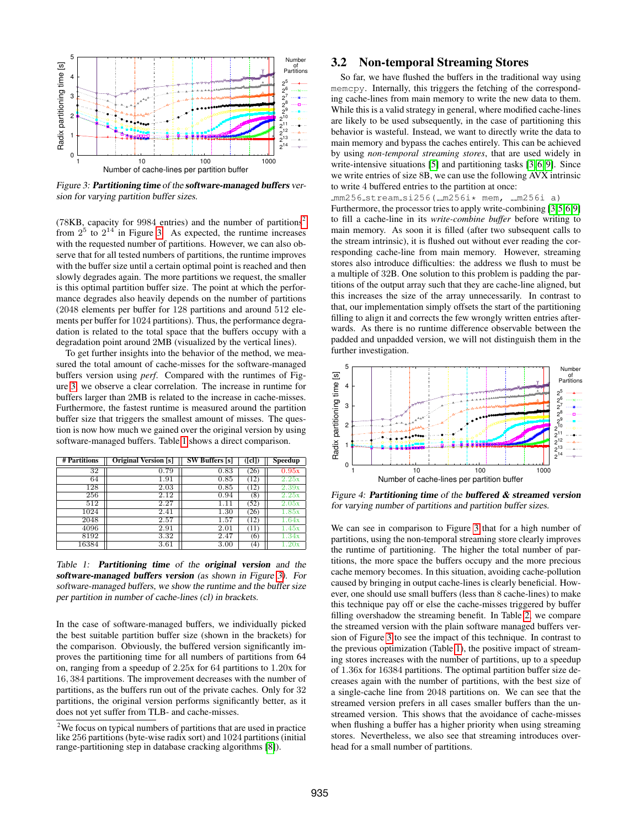<span id="page-1-1"></span>

Figure 3: Partitioning time of the software-managed buffers version for varying partition buffer sizes.

(78KB, capacity for 9984 entries) and the number of partitions<sup>[2](#page-1-0)</sup> from  $2^5$  to  $2^{14}$  in Figure [3.](#page-1-1) As expected, the runtime increases with the requested number of partitions. However, we can also observe that for all tested numbers of partitions, the runtime improves with the buffer size until a certain optimal point is reached and then slowly degrades again. The more partitions we request, the smaller is this optimal partition buffer size. The point at which the performance degrades also heavily depends on the number of partitions (2048 elements per buffer for 128 partitions and around 512 elements per buffer for 1024 partitions). Thus, the performance degradation is related to the total space that the buffers occupy with a degradation point around 2MB (visualized by the vertical lines).

To get further insights into the behavior of the method, we measured the total amount of cache-misses for the software-managed buffers version using *perf*. Compared with the runtimes of Figure [3,](#page-1-1) we observe a clear correlation. The increase in runtime for buffers larger than 2MB is related to the increase in cache-misses. Furthermore, the fastest runtime is measured around the partition buffer size that triggers the smallest amount of misses. The question is now how much we gained over the original version by using software-managed buffers. Table [1](#page-1-2) shows a direct comparison.

<span id="page-1-2"></span>

| # Partitions | <b>Original Version</b> [s] | <b>SW Buffers</b> [s] | ([cl]) | Speedup            |
|--------------|-----------------------------|-----------------------|--------|--------------------|
| 32           | 0.79                        | 0.83                  | (26)   | 0.95x              |
| 64           | 1.91                        | 0.85                  | '12)   | 2.25x              |
| 128          | 2.03                        | 0.85                  | (12)   | 2.39x              |
| 256          | 2.12                        | 0.94                  | (8)    | 2.25x              |
| 512          | 2.27                        | 1.11                  | (52)   | 2.05x              |
| 1024         | 2.41                        | 1.30                  | (26)   | $\overline{1.85}x$ |
| 2048         | 2.57                        | 1.57                  | (12)   | 1.64x              |
| 4096         | 2.91                        | 2.01                  | (11)   | 1.45x              |
| 8192         | 3.32                        | 2.47                  | (6)    | 1.34x              |
| 16384        | 3.61                        | 3.00                  | (4)    |                    |

Table 1: Partitioning time of the original version and the software-managed buffers version (as shown in Figure [3\)](#page-1-1). For software-managed buffers, we show the runtime and the buffer size per partition in number of cache-lines (cl) in brackets.

In the case of software-managed buffers, we individually picked the best suitable partition buffer size (shown in the brackets) for the comparison. Obviously, the buffered version significantly improves the partitioning time for all numbers of partitions from 64 on, ranging from a speedup of 2.25x for 64 partitions to 1.20x for 16, 384 partitions. The improvement decreases with the number of partitions, as the buffers run out of the private caches. Only for 32 partitions, the original version performs significantly better, as it does not yet suffer from TLB- and cache-misses.

#### 3.2 Non-temporal Streaming Stores

So far, we have flushed the buffers in the traditional way using memcpy. Internally, this triggers the fetching of the corresponding cache-lines from main memory to write the new data to them. While this is a valid strategy in general, where modified cache-lines are likely to be used subsequently, in the case of partitioning this behavior is wasteful. Instead, we want to directly write the data to main memory and bypass the caches entirely. This can be achieved by using *non-temporal streaming stores*, that are used widely in write-intensive situations [\[5\]](#page-3-6) and partitioning tasks [\[3,](#page-3-5) [6,](#page-3-1) [9\]](#page-3-4). Since we write entries of size 8B, we can use the following AVX intrinsic to write 4 buffered entries to the partition at once:

 $mm256$  stream  $si256$  ( $m256i*$  mem,  $m256i a$ ) Furthermore, the processor tries to apply write-combining [\[3](#page-3-5)[,5,](#page-3-6)[6,](#page-3-1)[9\]](#page-3-4) to fill a cache-line in its *write-combine buffer* before writing to main memory. As soon it is filled (after two subsequent calls to the stream intrinsic), it is flushed out without ever reading the corresponding cache-line from main memory. However, streaming stores also introduce difficulties: the address we flush to must be a multiple of 32B. One solution to this problem is padding the partitions of the output array such that they are cache-line aligned, but this increases the size of the array unnecessarily. In contrast to that, our implementation simply offsets the start of the partitioning filling to align it and corrects the few wrongly written entries afterwards. As there is no runtime difference observable between the padded and unpadded version, we will not distinguish them in the further investigation.

<span id="page-1-3"></span>

Figure 4: Partitioning time of the buffered  $\&$  streamed version for varying number of partitions and partition buffer sizes.

We can see in comparison to Figure [3](#page-1-1) that for a high number of partitions, using the non-temporal streaming store clearly improves the runtime of partitioning. The higher the total number of partitions, the more space the buffers occupy and the more precious cache memory becomes. In this situation, avoiding cache-pollution caused by bringing in output cache-lines is clearly beneficial. However, one should use small buffers (less than 8 cache-lines) to make this technique pay off or else the cache-misses triggered by buffer filling overshadow the streaming benefit. In Table [2,](#page-2-0) we compare the streamed version with the plain software managed buffers version of Figure [3](#page-1-1) to see the impact of this technique. In contrast to the previous optimization (Table [1\)](#page-1-2), the positive impact of streaming stores increases with the number of partitions, up to a speedup of 1.36x for 16384 partitions. The optimal partition buffer size decreases again with the number of partitions, with the best size of a single-cache line from 2048 partitions on. We can see that the streamed version prefers in all cases smaller buffers than the unstreamed version. This shows that the avoidance of cache-misses when flushing a buffer has a higher priority when using streaming stores. Nevertheless, we also see that streaming introduces overhead for a small number of partitions.

<span id="page-1-0"></span><sup>2</sup>We focus on typical numbers of partitions that are used in practice like 256 partitions (byte-wise radix sort) and 1024 partitions (initial range-partitioning step in database cracking algorithms [\[8\]](#page-3-3)).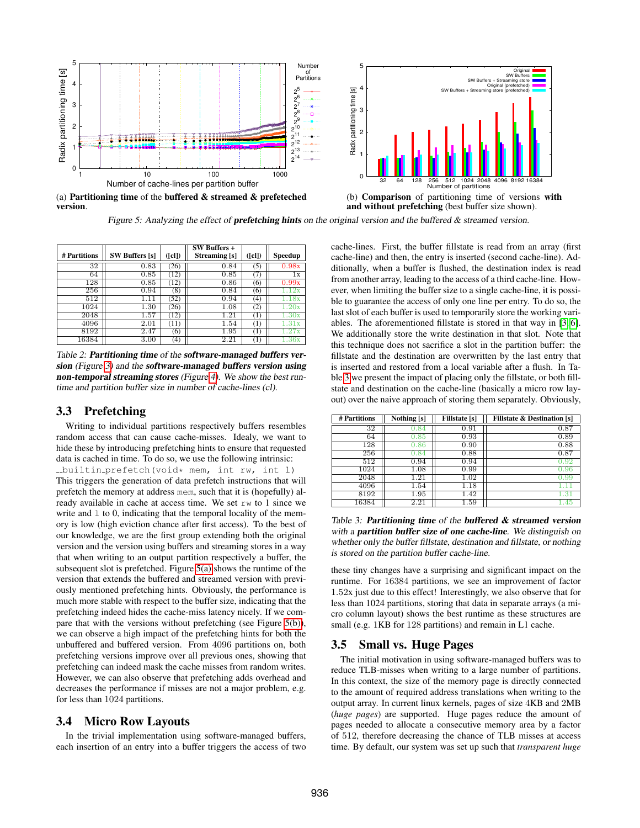<span id="page-2-1"></span>

version.

<span id="page-2-2"></span>(b) Comparison of partitioning time of versions with and without prefetching (best buffer size shown).

Figure 5: Analyzing the effect of **prefetching hints** on the original version and the buffered  $\&$  streamed version.

<span id="page-2-0"></span>

| # Partitions | <b>SW Buffers</b> [s] | ([cl]) | SW Buffers +<br>Streaming [s] | ([c])               | Speedup            |
|--------------|-----------------------|--------|-------------------------------|---------------------|--------------------|
| 32           | 0.83                  | (26)   | 0.84                          | (5)                 | 0.98x              |
| 64           | 0.85                  | (12)   | 0.85                          | (7)                 | 1x                 |
| 128          | 0.85                  | (12)   | 0.86                          | (6)                 | 0.99x              |
| 256          | 0.94                  | (8)    | 0.84                          | (6)                 | 12x                |
| 512          | 11                    | (52)   | 0.94                          | (4)                 | 18x                |
| 1024         | 1.30                  | (26)   | 1.08                          | (2)                 | 20x                |
| 2048         | 1.57                  | (12)   | 1.21                          | $\scriptstyle{(1)}$ | 1.30x              |
| 4096         | 2.01                  | (11)   | 1.54                          | $\scriptstyle{(1)}$ | 1.31x              |
| 8192         | 2.47                  | (6)    | 1.95                          | $\scriptstyle{(1)}$ | 1.27x              |
| 16384        | 3.00                  | (4)    | 2.21                          | (1)                 | $\overline{1.36}x$ |

Table 2: Partitioning time of the software-managed buffers ver-sion (Figure [3\)](#page-1-1) and the software-managed buffers version using non-temporal streaming stores (Figure [4\)](#page-1-3). We show the best runtime and partition buffer size in number of cache-lines (cl).

### 3.3 Prefetching

Writing to individual partitions respectively buffers resembles random access that can cause cache-misses. Idealy, we want to hide these by introducing prefetching hints to ensure that requested data is cached in time. To do so, we use the following intrinsic: builtin prefetch(void\* mem, int rw, int l) This triggers the generation of data prefetch instructions that will prefetch the memory at address mem, such that it is (hopefully) already available in cache at access time. We set rw to 1 since we write and  $\perp$  to 0, indicating that the temporal locality of the memory is low (high eviction chance after first access). To the best of our knowledge, we are the first group extending both the original version and the version using buffers and streaming stores in a way that when writing to an output partition respectively a buffer, the subsequent slot is prefetched. Figure [5\(a\)](#page-2-1) shows the runtime of the version that extends the buffered and streamed version with previously mentioned prefetching hints. Obviously, the performance is much more stable with respect to the buffer size, indicating that the prefetching indeed hides the cache-miss latency nicely. If we compare that with the versions without prefetching (see Figure [5\(b\)\)](#page-2-2), we can observe a high impact of the prefetching hints for both the unbuffered and buffered version. From 4096 partitions on, both prefetching versions improve over all previous ones, showing that prefetching can indeed mask the cache misses from random writes. However, we can also observe that prefetching adds overhead and decreases the performance if misses are not a major problem, e.g. for less than 1024 partitions.

#### 3.4 Micro Row Layouts

In the trivial implementation using software-managed buffers, each insertion of an entry into a buffer triggers the access of two cache-lines. First, the buffer fillstate is read from an array (first cache-line) and then, the entry is inserted (second cache-line). Additionally, when a buffer is flushed, the destination index is read from another array, leading to the access of a third cache-line. However, when limiting the buffer size to a single cache-line, it is possible to guarantee the access of only one line per entry. To do so, the last slot of each buffer is used to temporarily store the working variables. The aforementioned fillstate is stored in that way in [\[3,](#page-3-5) [6\]](#page-3-1). We additionally store the write destination in that slot. Note that this technique does not sacrifice a slot in the partition buffer: the fillstate and the destination are overwritten by the last entry that is inserted and restored from a local variable after a flush. In Table [3](#page-2-3) we present the impact of placing only the fillstate, or both fillstate and destination on the cache-line (basically a micro row layout) over the naive approach of storing them separately. Obviously,

<span id="page-2-3"></span>

| # Partitions | $\overline{\text{Nothing}}$ [s] | <b>Fillstate</b> [s] | <b>Fillstate &amp; Destination [s]</b> |
|--------------|---------------------------------|----------------------|----------------------------------------|
| 32           | 0.84                            | 0.91                 | 0.87                                   |
| 64           | 0.85                            | 0.93                 | 0.89                                   |
| 128          | $\rm 0.86$                      | 0.90                 | 0.88                                   |
| 256          | .84                             | 0.88                 | 0.87                                   |
| 512          | 0.94                            | 0.94                 | $_{\rm 0.92}$                          |
| 1024         | 1.08                            | 0.99                 | 0.96                                   |
| 2048         | 1.21                            | 1.02                 | 0.99                                   |
| 4096         | 1.54                            | 1.18                 | $\mathbf{L}$                           |
| 8192         | 1.95                            | 1.42                 | 1.31                                   |
| 16384        | 2.21                            | 1.59                 | 1.45                                   |

Table 3: **Partitioning time** of the **buffered**  $\&$  **streamed version** with a **partition buffer size of one cache-line**. We distinguish on whether only the buffer fillstate, destination and fillstate, or nothing is stored on the partition buffer cache-line.

these tiny changes have a surprising and significant impact on the runtime. For 16384 partitions, we see an improvement of factor 1.52x just due to this effect! Interestingly, we also observe that for less than 1024 partitions, storing that data in separate arrays (a micro column layout) shows the best runtime as these structures are small (e.g. 1KB for 128 partitions) and remain in L1 cache.

#### 3.5 Small vs. Huge Pages

The initial motivation in using software-managed buffers was to reduce TLB-misses when writing to a large number of partitions. In this context, the size of the memory page is directly connected to the amount of required address translations when writing to the output array. In current linux kernels, pages of size 4KB and 2MB (*huge pages*) are supported. Huge pages reduce the amount of pages needed to allocate a consecutive memory area by a factor of 512, therefore decreasing the chance of TLB misses at access time. By default, our system was set up such that *transparent huge*